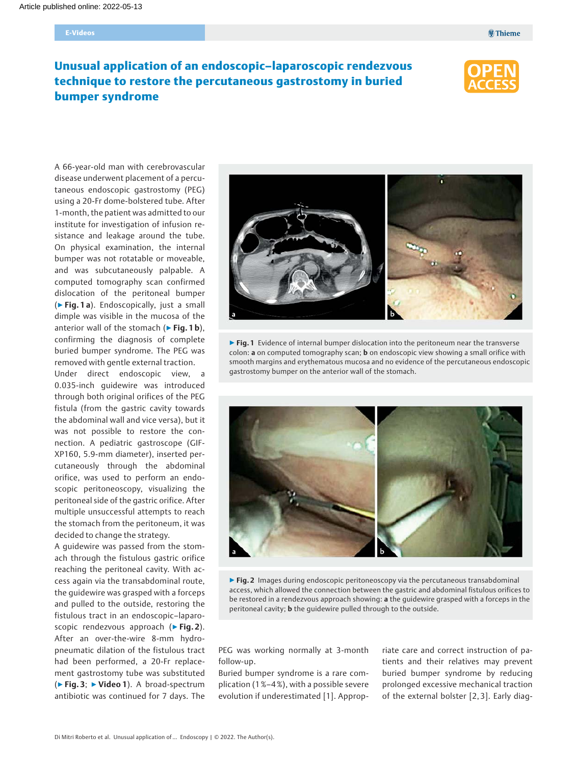# Unusual application of an endoscopic–laparoscopic rendezvous technique to restore the percutaneous gastrostomy in buried bumper syndrome



A 66-year-old man with cerebrovascular disease underwent placement of a percutaneous endoscopic gastrostomy (PEG) using a 20-Fr dome-bolstered tube. After 1-month, the patient was admitted to our institute for investigation of infusion resistance and leakage around the tube. On physical examination, the internal bumper was not rotatable or moveable, and was subcutaneously palpable. A computed tomography scan confirmed dislocation of the peritoneal bumper (▶Fig. 1 a). Endoscopically, just a small dimple was visible in the mucosa of the anterior wall of the stomach ( $\triangleright$  Fig. 1b). confirming the diagnosis of complete buried bumper syndrome. The PEG was removed with gentle external traction.

Under direct endoscopic view, a 0.035-inch guidewire was introduced through both original orifices of the PEG fistula (from the gastric cavity towards the abdominal wall and vice versa), but it was not possible to restore the connection. A pediatric gastroscope (GIF-XP160, 5.9-mm diameter), inserted percutaneously through the abdominal orifice, was used to perform an endoscopic peritoneoscopy, visualizing the peritoneal side of the gastric orifice. After multiple unsuccessful attempts to reach the stomach from the peritoneum, it was decided to change the strategy.

A guidewire was passed from the stomach through the fistulous gastric orifice reaching the peritoneal cavity. With access again via the transabdominal route, the guidewire was grasped with a forceps and pulled to the outside, restoring the fistulous tract in an endoscopic–laparoscopic rendezvous approach (▶Fig. 2). After an over-the-wire 8-mm hydropneumatic dilation of the fistulous tract had been performed, a 20-Fr replacement gastrostomy tube was substituted  $(\triangleright$  Fig. 3;  $\triangleright$  Video 1). A broad-spectrum antibiotic was continued for 7 days. The



▶ Fig. 1 Evidence of internal bumper dislocation into the peritoneum near the transverse colon: a on computed tomography scan; **b** on endoscopic view showing a small orifice with smooth margins and erythematous mucosa and no evidence of the percutaneous endoscopic gastrostomy bumper on the anterior wall of the stomach.



▶ Fig. 2 Images during endoscopic peritoneoscopy via the percutaneous transabdominal access, which allowed the connection between the gastric and abdominal fistulous orifices to be restored in a rendezvous approach showing: a the guidewire grasped with a forceps in the peritoneal cavity; b the guidewire pulled through to the outside.

PEG was working normally at 3-month follow-up.

Buried bumper syndrome is a rare complication (1 %–4 %), with a possible severe evolution if underestimated [1]. Appropriate care and correct instruction of patients and their relatives may prevent buried bumper syndrome by reducing prolonged excessive mechanical traction of the external bolster [2, 3]. Early diag-